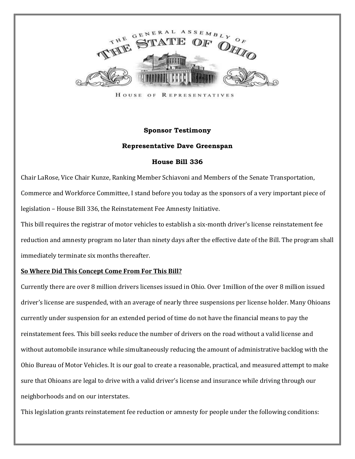

HOUSE OF **REPRESENTATIVES** 

## **Sponsor Testimony**

## **Representative Dave Greenspan**

## **House Bill 336**

Chair LaRose, Vice Chair Kunze, Ranking Member Schiavoni and Members of the Senate Transportation, Commerce and Workforce Committee, I stand before you today as the sponsors of a very important piece of legislation – House Bill 336, the Reinstatement Fee Amnesty Initiative.

This bill requires the registrar of motor vehicles to establish a six-month driver's license reinstatement fee reduction and amnesty program no later than ninety days after the effective date of the Bill. The program shall immediately terminate six months thereafter.

## **So Where Did This Concept Come From For This Bill?**

Currently there are over 8 million drivers licenses issued in Ohio. Over 1million of the over 8 million issued driver's license are suspended, with an average of nearly three suspensions per license holder. Many Ohioans currently under suspension for an extended period of time do not have the financial means to pay the reinstatement fees. This bill seeks reduce the number of drivers on the road without a valid license and without automobile insurance while simultaneously reducing the amount of administrative backlog with the Ohio Bureau of Motor Vehicles. It is our goal to create a reasonable, practical, and measured attempt to make sure that Ohioans are legal to drive with a valid driver's license and insurance while driving through our neighborhoods and on our interstates.

This legislation grants reinstatement fee reduction or amnesty for people under the following conditions: